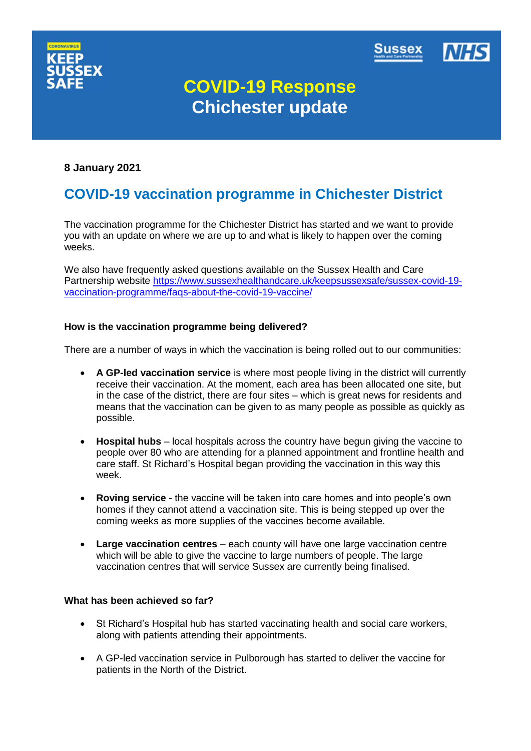



# **COVID-19 Response Chichester update**

## **8 January 2021**

# **COVID-19 vaccination programme in Chichester District**

The vaccination programme for the Chichester District has started and we want to provide you with an update on where we are up to and what is likely to happen over the coming weeks.

We also have frequently asked questions available on the Sussex Health and Care Partnership website [https://www.sussexhealthandcare.uk/keepsussexsafe/sussex-covid-19](https://www.sussexhealthandcare.uk/keepsussexsafe/sussex-covid-19-vaccination-programme/faqs-about-the-covid-19-vaccine/) [vaccination-programme/faqs-about-the-covid-19-vaccine/](https://www.sussexhealthandcare.uk/keepsussexsafe/sussex-covid-19-vaccination-programme/faqs-about-the-covid-19-vaccine/)

#### **How is the vaccination programme being delivered?**

There are a number of ways in which the vaccination is being rolled out to our communities:

- **A GP-led vaccination service** is where most people living in the district will currently receive their vaccination. At the moment, each area has been allocated one site, but in the case of the district, there are four sites – which is great news for residents and means that the vaccination can be given to as many people as possible as quickly as possible.
- **Hospital hubs** local hospitals across the country have begun giving the vaccine to people over 80 who are attending for a planned appointment and frontline health and care staff. St Richard's Hospital began providing the vaccination in this way this week.
- **Roving service** the vaccine will be taken into care homes and into people's own homes if they cannot attend a vaccination site. This is being stepped up over the coming weeks as more supplies of the vaccines become available.
- **Large vaccination centres** each county will have one large vaccination centre which will be able to give the vaccine to large numbers of people. The large vaccination centres that will service Sussex are currently being finalised.

#### **What has been achieved so far?**

- St Richard's Hospital hub has started vaccinating health and social care workers, along with patients attending their appointments.
- A GP-led vaccination service in Pulborough has started to deliver the vaccine for patients in the North of the District.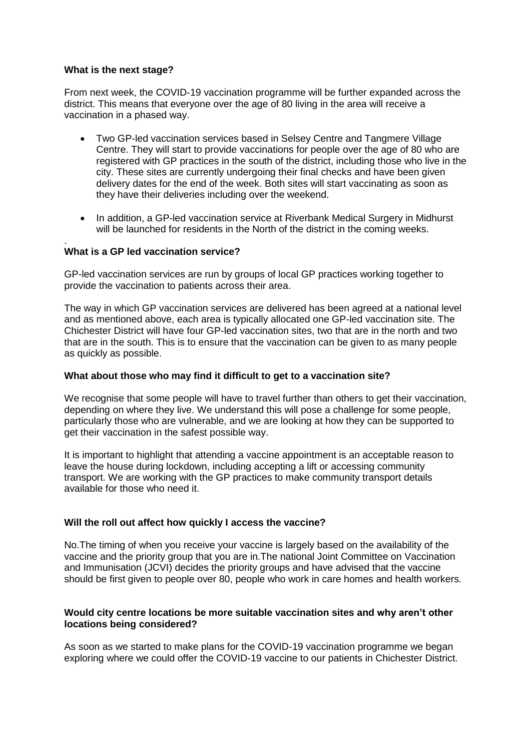#### **What is the next stage?**

From next week, the COVID-19 vaccination programme will be further expanded across the district. This means that everyone over the age of 80 living in the area will receive a vaccination in a phased way.

- Two GP-led vaccination services based in Selsey Centre and Tangmere Village Centre. They will start to provide vaccinations for people over the age of 80 who are registered with GP practices in the south of the district, including those who live in the city. These sites are currently undergoing their final checks and have been given delivery dates for the end of the week. Both sites will start vaccinating as soon as they have their deliveries including over the weekend.
- In addition, a GP-led vaccination service at Riverbank Medical Surgery in Midhurst will be launched for residents in the North of the district in the coming weeks.

#### . **What is a GP led vaccination service?**

GP-led vaccination services are run by groups of local GP practices working together to provide the vaccination to patients across their area.

The way in which GP vaccination services are delivered has been agreed at a national level and as mentioned above, each area is typically allocated one GP-led vaccination site. The Chichester District will have four GP-led vaccination sites, two that are in the north and two that are in the south. This is to ensure that the vaccination can be given to as many people as quickly as possible.

#### **What about those who may find it difficult to get to a vaccination site?**

We recognise that some people will have to travel further than others to get their vaccination, depending on where they live. We understand this will pose a challenge for some people, particularly those who are vulnerable, and we are looking at how they can be supported to get their vaccination in the safest possible way.

It is important to highlight that attending a vaccine appointment is an acceptable reason to leave the house during lockdown, including accepting a lift or accessing community transport. We are working with the GP practices to make community transport details available for those who need it.

#### **Will the roll out affect how quickly I access the vaccine?**

No.The timing of when you receive your vaccine is largely based on the availability of the vaccine and the priority group that you are in.The national Joint Committee on Vaccination and Immunisation (JCVI) decides the priority groups and have advised that the vaccine should be first given to people over 80, people who work in care homes and health workers.

#### **Would city centre locations be more suitable vaccination sites and why aren't other locations being considered?**

As soon as we started to make plans for the COVID-19 vaccination programme we began exploring where we could offer the COVID-19 vaccine to our patients in Chichester District.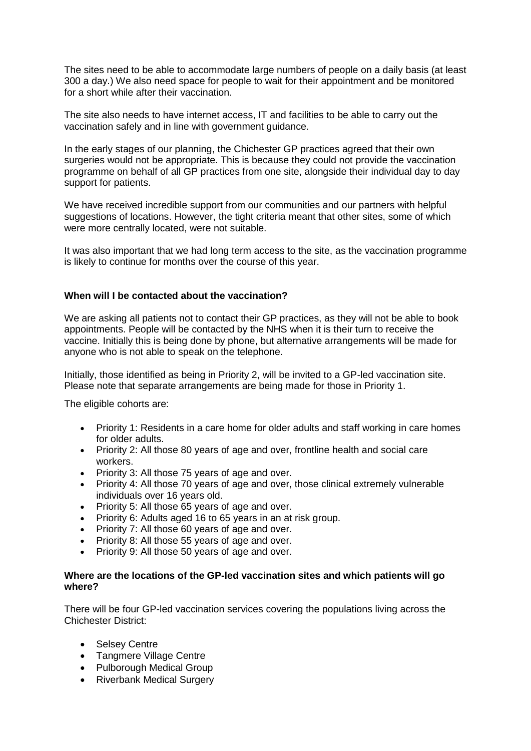The sites need to be able to accommodate large numbers of people on a daily basis (at least 300 a day.) We also need space for people to wait for their appointment and be monitored for a short while after their vaccination.

The site also needs to have internet access, IT and facilities to be able to carry out the vaccination safely and in line with government guidance.

In the early stages of our planning, the Chichester GP practices agreed that their own surgeries would not be appropriate. This is because they could not provide the vaccination programme on behalf of all GP practices from one site, alongside their individual day to day support for patients.

We have received incredible support from our communities and our partners with helpful suggestions of locations. However, the tight criteria meant that other sites, some of which were more centrally located, were not suitable.

It was also important that we had long term access to the site, as the vaccination programme is likely to continue for months over the course of this year.

#### **When will I be contacted about the vaccination?**

We are asking all patients not to contact their GP practices, as they will not be able to book appointments. People will be contacted by the NHS when it is their turn to receive the vaccine. Initially this is being done by phone, but alternative arrangements will be made for anyone who is not able to speak on the telephone.

Initially, those identified as being in Priority 2, will be invited to a GP-led vaccination site. Please note that separate arrangements are being made for those in Priority 1.

The eligible cohorts are:

- Priority 1: Residents in a care home for older adults and staff working in care homes for older adults.
- Priority 2: All those 80 years of age and over, frontline health and social care workers.
- Priority 3: All those 75 years of age and over.
- Priority 4: All those 70 years of age and over, those clinical extremely vulnerable individuals over 16 years old.
- Priority 5: All those 65 years of age and over.
- Priority 6: Adults aged 16 to 65 years in an at risk group.
- Priority 7: All those 60 years of age and over.
- Priority 8: All those 55 years of age and over.
- Priority 9: All those 50 years of age and over.

#### **Where are the locations of the GP-led vaccination sites and which patients will go where?**

There will be four GP-led vaccination services covering the populations living across the Chichester District:

- Selsey Centre
- Tangmere Village Centre
- Pulborough Medical Group
- Riverbank Medical Surgery